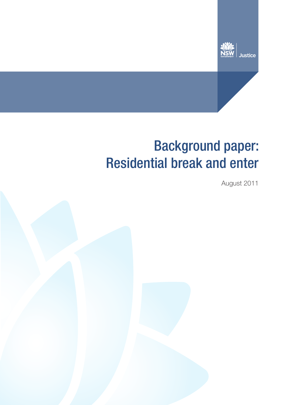

# Background paper: Residential break and enter

August 2011

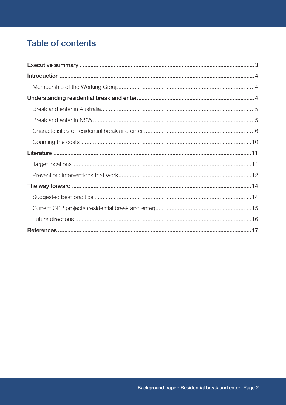# **Table of contents**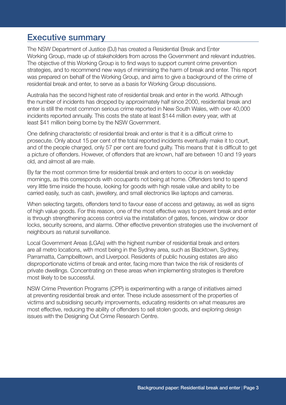# Executive summary

The NSW Department of Justice (DJ) has created a Residential Break and Enter Working Group, made up of stakeholders from across the Government and relevant industries. The objective of this Working Group is to find ways to support current crime prevention strategies, and to recommend new ways of minimising the harm of break and enter. This report was prepared on behalf of the Working Group, and aims to give a background of the crime of residential break and enter, to serve as a basis for Working Group discussions.

Australia has the second highest rate of residential break and enter in the world. Although the number of incidents has dropped by approximately half since 2000, residential break and enter is still the most common serious crime reported in New South Wales, with over 40,000 incidents reported annually. This costs the state at least \$144 million every year, with at least \$41 million being borne by the NSW Government.

One defining characteristic of residential break and enter is that it is a difficult crime to prosecute. Only about 15 per cent of the total reported incidents eventually make it to court, and of the people charged, only 57 per cent are found guilty. This means that it is difficult to get a picture of offenders. However, of offenders that are known, half are between 10 and 19 years old, and almost all are male.

By far the most common time for residential break and enters to occur is on weekday mornings, as this corresponds with occupants not being at home. Offenders tend to spend very little time inside the house, looking for goods with high resale value and ability to be carried easily, such as cash, jewellery, and small electronics like laptops and cameras.

When selecting targets, offenders tend to favour ease of access and getaway, as well as signs of high value goods. For this reason, one of the most effective ways to prevent break and enter is through strengthening access control via the installation of gates, fences, window or door locks, security screens, and alarms. Other effective prevention strategies use the involvement of neighbours as natural surveillance.

Local Government Areas (LGAs) with the highest number of residential break and enters are all metro locations, with most being in the Sydney area, such as Blacktown, Sydney, Parramatta, Campbelltown, and Liverpool. Residents of public housing estates are also disproportionate victims of break and enter, facing more than twice the risk of residents of private dwellings. Concentrating on these areas when implementing strategies is therefore most likely to be successful.

NSW Crime Prevention Programs (CPP) is experimenting with a range of initiatives aimed at preventing residential break and enter. These include assessment of the properties of victims and subsidising security improvements, educating residents on what measures are most effective, reducing the ability of offenders to sell stolen goods, and exploring design issues with the Designing Out Crime Research Centre.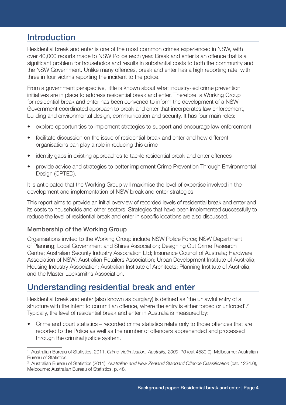# **Introduction**

Residential break and enter is one of the most common crimes experienced in NSW, with over 40,000 reports made to NSW Police each year. Break and enter is an offence that is a significant problem for households and results in substantial costs to both the community and the NSW Government. Unlike many offences, break and enter has a high reporting rate, with three in four victims reporting the incident to the police.<sup>1</sup>

From a government perspective, little is known about what industry-led crime prevention initiatives are in place to address residential break and enter. Therefore, a Working Group for residential break and enter has been convened to inform the development of a NSW Government coordinated approach to break and enter that incorporates law enforcement, building and environmental design, communication and security. It has four main roles:

- explore opportunities to implement strategies to support and encourage law enforcement
- facilitate discussion on the issue of residential break and enter and how different organisations can play a role in reducing this crime
- identify gaps in existing approaches to tackle residential break and enter offences
- provide advice and strategies to better implement Crime Prevention Through Environmental Design (CPTED).

It is anticipated that the Working Group will maximise the level of expertise involved in the development and implementation of NSW break and enter strategies.

This report aims to provide an initial overview of recorded levels of residential break and enter and its costs to households and other sectors. Strategies that have been implemented successfully to reduce the level of residential break and enter in specific locations are also discussed.

### Membership of the Working Group

Organisations invited to the Working Group include NSW Police Force; NSW Department of Planning; Local Government and Shires Association; Designing Out Crime Research Centre; Australian Security Industry Association Ltd; Insurance Council of Australia; Hardware Association of NSW; Australian Retailers Association; Urban Development Institute of Australia; Housing Industry Association; Australian Institute of Architects; Planning Institute of Australia; and the Master Locksmiths Association.

# Understanding residential break and enter

Residential break and enter (also known as burglary) is defined as 'the unlawful entry of a structure with the intent to commit an offence, where the entry is either forced or unforced'.<sup>2</sup> Typically, the level of residential break and enter in Australia is measured by:

• Crime and court statistics – recorded crime statistics relate only to those offences that are reported to the Police as well as the number of offenders apprehended and processed through the criminal justice system.

<sup>1</sup> Australian Bureau of Statistics, 2011, *Crime Victimisation, Australia, 2009–10* (cat 4530.0). Melbourne: Australian Bureau of Statistics.

<sup>2</sup> Australian Bureau of Statistics (2011), *Australian and New Zealand Standard Offence Classification* (cat. 1234.0), Melbourne: Australian Bureau of Statistics, p. 48.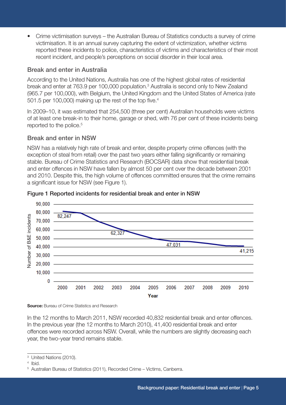• Crime victimisation surveys – the Australian Bureau of Statistics conducts a survey of crime victimisation. It is an annual survey capturing the extent of victimization, whether victims reported these incidents to police, characteristics of victims and characteristics of their most recent incident, and people's perceptions on social disorder in their local area.

# Break and enter in Australia

According to the United Nations, Australia has one of the highest global rates of residential break and enter at 763.9 per 100,000 population.<sup>3</sup> Australia is second only to New Zealand (965.7 per 100,000), with Belgium, the United Kingdom and the United States of America (rate 501.5 per 100,000) making up the rest of the top five.<sup>4</sup>

In 2009–10, it was estimated that 254,500 (three per cent) Australian households were victims of at least one break-in to their home, garage or shed, with 76 per cent of these incidents being reported to the police.<sup>5</sup>

## Break and enter in NSW

NSW has a relatively high rate of break and enter, despite property crime offences (with the exception of steal from retail) over the past two years either falling significantly or remaining stable. Bureau of Crime Statistics and Research (BOCSAR) data show that residential break and enter offences in NSW have fallen by almost 50 per cent over the decade between 2001 and 2010. Despite this, the high volume of offences committed ensures that the crime remains a significant issue for NSW (see Figure 1).





**Source:** Bureau of Crime Statistics and Research

In the 12 months to March 2011, NSW recorded 40,832 residential break and enter offences. In the previous year (the 12 months to March 2010), 41,400 residential break and enter offences were recorded across NSW. Overall, while the numbers are slightly decreasing each year, the two-year trend remains stable.

<sup>3</sup> United Nations (2010).

<sup>4</sup> Ibid.

<sup>&</sup>lt;sup>5</sup> Australian Bureau of Statistics (2011), Recorded Crime - Victims, Canberra.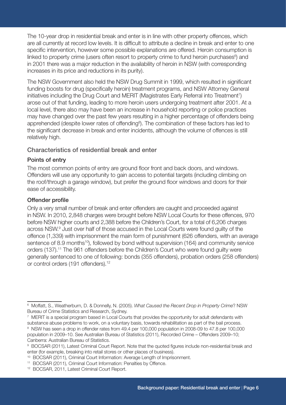The 10-year drop in residential break and enter is in line with other property offences, which are all currently at record low levels. It is difficult to attribute a decline in break and enter to one specific intervention, however some possible explanations are offered. Heroin consumption is linked to property crime (users often resort to property crime to fund heroin purchases<sup>6</sup>) and in 2001 there was a major reduction in the availability of heroin in NSW (with corresponding increases in its price and reductions in its purity).

The NSW Government also held the NSW Drug Summit in 1999, which resulted in significant funding boosts for drug (specifically heroin) treatment programs, and NSW Attorney General initiatives including the Drug Court and MERIT (Magistrates Early Referral into Treatment<sup>7</sup>) arose out of that funding, leading to more heroin users undergoing treatment after 2001. At a local level, there also may have been an increase in household reporting or police practices may have changed over the past few years resulting in a higher percentage of offenders being apprehended (despite lower rates of offending<sup>8</sup>). The combination of these factors has led to the significant decrease in break and enter incidents, although the volume of offences is still relatively high.

### Characteristics of residential break and enter

### Points of entry

The most common points of entry are ground floor front and back doors, and windows. Offenders will use any opportunity to gain access to potential targets (including climbing on the roof/through a garage window), but prefer the ground floor windows and doors for their ease of accessibility.

## Offender profile

Only a very small number of break and enter offenders are caught and proceeded against in NSW. In 2010, 2,848 charges were brought before NSW Local Courts for these offences, 970 before NSW higher courts and 2,388 before the Children's Court, for a total of 6,206 charges across NSW.9 Just over half of those accused in the Local Courts were found guilty of the offence (1,339) with imprisonment the main form of punishment (626 offenders, with an average sentence of 8.9 months<sup>10</sup>), followed by bond without supervision (164) and community service orders (137).<sup>11</sup> The 961 offenders before the Children's Court who were found guilty were generally sentenced to one of following: bonds (355 offenders), probation orders (258 offenders) or control orders (191 offenders).<sup>12</sup>

8 NSW has seen a drop in offender rates from 49.4 per 100,000 population in 2008-09 to 47.8 per 100,000 population in 2009–10. See Australian Bureau of Statistics (2011), Recorded Crime – Offenders 2009–10; Canberra: Australian Bureau of Statistics.

<sup>6</sup> Moffatt, S., Weatherburn, D. & Donnelly, N. (2005). *What Caused the Recent Drop in Property Crime*? NSW Bureau of Crime Statistics and Research, Sydney.

<sup>7</sup> MERIT is a special program based in Local Courts that provides the opportunity for adult defendants with substance abuse problems to work, on a voluntary basis, towards rehabilitation as part of the bail process.

<sup>9</sup> BOCSAR (2011), Latest Criminal Court Report. Note that the quoted figures include non-residential break and enter (for example, breaking into retail stores or other places of business).

<sup>10</sup> BOCSAR (2011), Criminal Court Information: Average Length of Imprisonment.

<sup>11</sup> BOCSAR (2011), Criminal Court Information: Penalties by Offence.

<sup>12</sup> BOCSAR, 2011, Latest Criminal Court Report.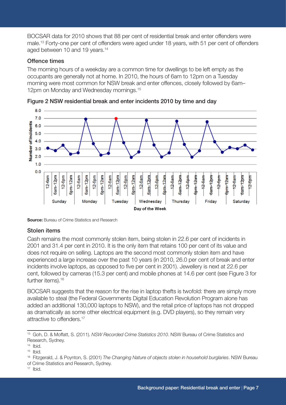BOCSAR data for 2010 shows that 88 per cent of residential break and enter offenders were male.13 Forty-one per cent of offenders were aged under 18 years, with 51 per cent of offenders aged between 10 and 19 years.<sup>14</sup>

### Offence times

The morning hours of a weekday are a common time for dwellings to be left empty as the occupants are generally not at home. In 2010, the hours of 6am to 12pm on a Tuesday morning were most common for NSW break and enter offences, closely followed by 6am– 12pm on Monday and Wednesday mornings.<sup>15</sup>





**Source:** Bureau of Crime Statistics and Research

#### Stolen items

Cash remains the most commonly stolen item, being stolen in 22.6 per cent of incidents in 2001 and 31.4 per cent in 2010. It is the only item that retains 100 per cent of its value and does not require on selling. Laptops are the second most commonly stolen item and have experienced a large increase over the past 10 years (in 2010, 26.0 per cent of break and enter incidents involve laptops, as opposed to five per cent in 2001). Jewellery is next at 22.6 per cent, followed by cameras (15.3 per cent) and mobile phones at 14.6 per cent (see Figure 3 for further items).<sup>16</sup>

BOCSAR suggests that the reason for the rise in laptop thefts is twofold: there are simply more available to steal (the Federal Governments Digital Education Revolution Program alone has added an additional 130,000 laptops to NSW), and the retail price of laptops has not dropped as dramatically as some other electrical equipment (e.g. DVD players), so they remain very attractive to offenders.<sup>17</sup>

<sup>13</sup> Goh, D. & Moffatt, S. (2011). *NSW Recorded Crime Statistics 2010*. NSW Bureau of Crime Statistics and Research, Sydney.

 $14$  Ibid.

 $15$  Ibid.

<sup>16</sup> Fitzgerald, J. & Poynton, S. (2001) *The Changing Nature of objects stolen in household burglaries*. NSW Bureau of Crime Statistics and Research, Sydney.

 $17$  Ibid.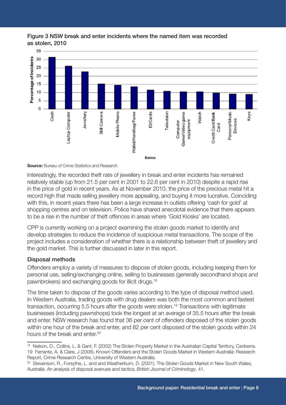#### Figure 3 NSW break and enter incidents where the named item was recorded as stolen, 2010



**Source:** Bureau of Crime Statistics and Research

Interestingly, the recorded theft rate of jewellery in break and enter incidents has remained relatively stable (up from 21.5 per cent in 2001 to 22.6 per cent in 2010) despite a rapid rise in the price of gold in recent years. As at November 2010, the price of the precious metal hit a record high that made selling jewellery more appealing, and buying it more lucrative. Coinciding with this, in recent years there has been a large increase in outlets offering 'cash for gold' at shopping centres and on television. Police have shared anecdotal evidence that there appears to be a rise in the number of theft offences in areas where 'Gold Kiosks' are located.

CPP is currently working on a project examining the stolen goods market to identify and develop strategies to reduce the incidence of suspicious metal transactions. The scope of the project includes a consideration of whether there is a relationship between theft of jewellery and the gold market. This is further discussed in later in this report.

#### Disposal methods

Offenders employ a variety of measures to dispose of stolen goods, including keeping them for personal use, selling/exchanging online, selling to businesses (generally secondhand shops and pawnbrokers) and exchanging goods for illicit drugs.18

The time taken to dispose of the goods varies according to the type of disposal method used. In Western Australia, trading goods with drug dealers was both the most common and fastest transaction, occurring 5.5 hours after the goods were stolen.<sup>19</sup> Transactions with legitimate businesses (including pawnshops) took the longest at an average of 35.5 hours after the break and enter. NSW research has found that 36 per cent of offenders disposed of the stolen goods within one hour of the break and enter, and 82 per cent disposed of the stolen goods within 24 hours of the break and enter.<sup>20</sup>

<sup>18</sup> Nelson, D., Collins, L. & Gant, F. (2002) The Stolen Property Market in the Australian Capital Territory, Canberra. 19 Ferrante, A. & Clare, J (2006). Known Offenders and the Stolen Goods Market in Western Australia: Research Report, Crime Research Centre, University of Western Australia.

<sup>&</sup>lt;sup>20</sup> Stevenson, R., Forsythe, L. and and Weatherburn, D. (2001). The Stolen Goods Market in New South Wales, Australia. An analysis of disposal avenues and tactics, *British Journal of Criminology*, 41.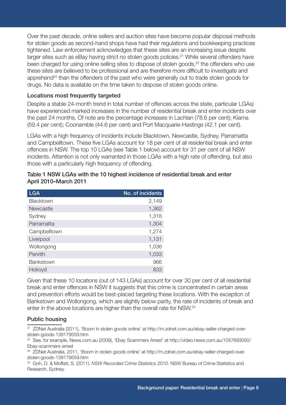Over the past decade, online sellers and auction sites have become popular disposal methods for stolen goods as second-hand shops have had their regulations and bookkeeping practices tightened. Law enforcement acknowledges that these sites are an increasing issue despite larger sites such as eBay having strict no stolen goods policies.<sup>21</sup> While several offenders have been charged for using online selling sites to dispose of stolen goods,<sup>22</sup> the offenders who use these sites are believed to be professional and are therefore more difficult to investigate and apprehend<sup>23</sup> than the offenders of the past who were generally out to trade stolen goods for drugs. No data is available on the time taken to dispose of stolen goods online.

#### Locations most frequently targeted

Despite a stable 24-month trend in total number of offences across the state, particular LGAs) have experienced marked increases in the number of residential break and enter incidents over the past 24 months. Of note are the percentage increases in Lachlan (78.6 per cent); Kiama (59.4 per cent); Coonamble (44.6 per cent) and Port Macquarie-Hastings (42.1 per cent).

LGAs with a high frequency of incidents include Blacktown, Newcastle, Sydney, Parramatta and Campbelltown. These five LGAs account for 18 per cent of all residential break and enter offences in NSW. The top 10 LGAs (see Table 1 below) account for 31 per cent of all NSW incidents. Attention is not only warranted in those LGAs with a high rate of offending, but also those with a particularly high frequency of offending.

| <b>LGA</b>       | No. of incidents |
|------------------|------------------|
| Blacktown        | 2,149            |
| <b>Newcastle</b> | 1,362            |
| Sydney           | 1,318            |
| Parramatta       | 1,304            |
| Campbelltown     | 1,274            |
| Liverpool        | 1,131            |
| Wollongong       | 1,036            |
| Penrith          | 1,033            |
| <b>Bankstown</b> | 966              |
| Holroyd          | 833              |

| Table 1 NSW LGAs with the 10 highest incidence of residential break and enter |  |
|-------------------------------------------------------------------------------|--|
| April 2010-March 2011                                                         |  |

Given that these 10 locations (out of 143 LGAs) account for over 30 per cent of all residential break and enter offences in NSW it suggests that this crime is concentrated in certain areas and prevention efforts would be best-placed targeting these locations. With the exception of Bankstown and Wollongong, which are slightly below parity, the rate of incidents of break and enter in the above locations are higher than the overall rate for NSW.24

#### Public housing

21 ZDNet Australia (2011), 'Boom in stolen goods online' at http://m.zdnet.com.au/ebay-seller-charged-overstolen-goods-139179559.htm

22 See, for example, News.com.au (2009), 'Ebay Scammers Arrest' at http://video.news.com.au/1057693050/ Ebay-scammers-arrest

23 ZDNet Australia, 2011, 'Boom in stolen goods online' at http://m.zdnet.com.au/ebay-seller-charged-overstolen-goods-139179559.htm

24 Goh, D. & Moffatt, S. (2011). *NSW Recorded Crime Statistics 2010*. NSW Bureau of Crime Statistics and Research, Sydney.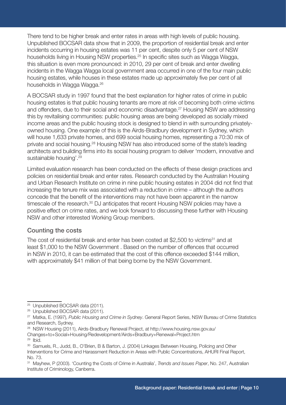There tend to be higher break and enter rates in areas with high levels of public housing. Unpublished BOCSAR data show that in 2009, the proportion of residential break and enter incidents occurring in housing estates was 11 per cent, despite only 5 per cent of NSW households living in Housing NSW properties.25 In specific sites such as Wagga Wagga, this situation is even more pronounced: in 2010, 29 per cent of break and enter dwelling incidents in the Wagga Wagga local government area occurred in one of the four main public housing estates, while houses in these estates made up approximately five per cent of all households in Wagga Wagga.<sup>26</sup>

A BOCSAR study in 1997 found that the best explanation for higher rates of crime in public housing estates is that public housing tenants are more at risk of becoming both crime victims and offenders, due to their social and economic disadvantage.<sup>27</sup> Housing NSW are addressing this by revitalising communities: public housing areas are being developed as socially mixed income areas and the public housing stock is designed to blend in with surrounding privatelyowned housing. One example of this is the Airds-Bradbury development in Sydney, which will house 1,633 private homes, and 699 social housing homes, representing a 70:30 mix of private and social housing.28 Housing NSW has also introduced some of the state's leading architects and building firms into its social housing program to deliver 'modern, innovative and sustainable housing'.<sup>29</sup>

Limited evaluation research has been conducted on the effects of these design practices and policies on residential break and enter rates. Research conducted by the Australian Housing and Urban Research Institute on crime in nine public housing estates in 2004 did not find that increasing the tenure mix was associated with a reduction in crime – although the authors concede that the benefit of the interventions may not have been apparent in the narrow timescale of the research.<sup>30</sup> DJ anticipates that recent Housing NSW policies may have a positive effect on crime rates, and we look forward to discussing these further with Housing NSW and other interested Working Group members.

### Counting the costs

The cost of residential break and enter has been costed at \$2,500 to victims<sup>31</sup> and at least \$1,000 to the NSW Government . Based on the number of offences that occurred in NSW in 2010, it can be estimated that the cost of this offence exceeded \$144 million, with approximately \$41 million of that being borne by the NSW Government.

28 NSW Housing (2011), Airds-Bradbury Renewal Project, at http://www.housing.nsw.gov.au/

 $29$  Ibid.

<sup>25</sup> Unpublished BOCSAR data (2011).

<sup>26</sup> Unpublished BOCSAR data (2011).

<sup>27</sup> Matka, E. (1997), *Public Housing and Crime in Sydney*. General Report Series, NSW Bureau of Crime Statistics and Research, Sydney.

Changes+to+Social+Housing/Redevelopment/Airds+Bradbury+Renewal+Project.htm

<sup>&</sup>lt;sup>30</sup> Samuels, R., Judd, B., O'Brien, B & Barton, J. (2004) Linkages Between Housing, Policing and Other Interventions for Crime and Harassment Reduction in Areas with Public Concentrations, AHURI Final Report, No. 73.

<sup>31</sup> Mayhew, P (2003). 'Counting the Costs of Crime in Australia', *Trends and Issues Paper*, No. 247, Australian Institute of Criminology, Canberra.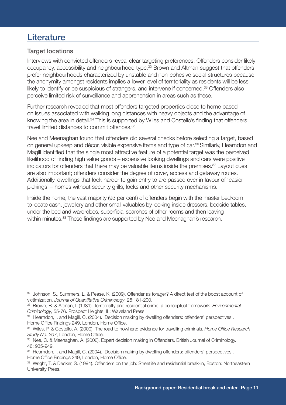# **Literature**

## Target locations

Interviews with convicted offenders reveal clear targeting preferences. Offenders consider likely occupancy, accessibility and neighbourhood type.32 Brown and Altman suggest that offenders prefer neighbourhoods characterized by unstable and non-cohesive social structures because the anonymity amongst residents implies a lower level of territoriality as residents will be less likely to identify or be suspicious of strangers, and intervene if concerned.<sup>33</sup> Offenders also perceive limited risk of surveillance and apprehension in areas such as these.

Further research revealed that most offenders targeted properties close to home based on issues associated with walking long distances with heavy objects and the advantage of knowing the area in detail.<sup>34</sup> This is supported by Wiles and Costello's finding that offenders travel limited distances to commit offences.35

Nee and Meenaghan found that offenders did several checks before selecting a target, based on general upkeep and décor, visible expensive items and type of car.<sup>36</sup> Similarly, Hearndon and Magill identified that the single most attractive feature of a potential target was the perceived likelihood of finding high value goods – expensive looking dwellings and cars were positive indicators for offenders that there may be valuable items inside the premises.<sup>37</sup> Layout cues are also important; offenders consider the degree of cover, access and getaway routes. Additionally, dwellings that look harder to gain entry to are passed over in favour of 'easier pickings' – homes without security grills, locks and other security mechanisms.

Inside the home, the vast majority (93 per cent) of offenders begin with the master bedroom to locate cash, jewellery and other small valuables by looking inside dressers, bedside tables, under the bed and wardrobes, superficial searches of other rooms and then leaving within minutes.<sup>38</sup> These findings are supported by Nee and Meenaghan's research.

<sup>&</sup>lt;sup>32</sup> Johnson, S., Summers, L. & Pease, K. (2009). Offender as forager? A direct test of the boost account of victimization. *Journal of Quantitative Criminology*, 25:181-200.

<sup>33</sup> Brown, B. & Altman, I. (1981). Territorialty and residential crime: a conceptual framework. *Environmental Criminology*, 55-76. Prospect Heights, IL: Waveland Press.

<sup>34</sup> Hearndon, I. and Magill, C. (2004). 'Decision making by dwelling offenders: offenders' perspectives'. Home Office Findings 249, London, Home Office.

<sup>35</sup> Wiles, P. & Costello, A. (2000). The road to nowhere: evidence for travelling criminals. *Home Office Research Study No. 207*, London, Home Office.

<sup>&</sup>lt;sup>36</sup> Nee, C. & Meenaghan, A. (2006). Expert decision making in Offenders, British Journal of Criminology, 46: 935-949.

<sup>37</sup> Hearndon, I. and Magill, C. (2004). 'Decision making by dwelling offenders: offenders' perspectives'. Home Office Findings 249, London, Home Office.

<sup>38</sup> Wright, T. & Decker, S. (1994). Offenders on the job: Streetlife and residential break-in, Boston: Northeastern University Press.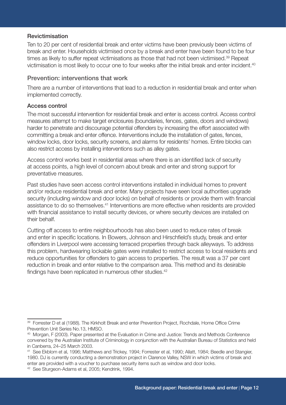#### Revictimisation

Ten to 20 per cent of residential break and enter victims have been previously been victims of break and enter. Households victimised once by a break and enter have been found to be four times as likely to suffer repeat victimisations as those that had not been victimised.<sup>39</sup> Repeat victimisation is most likely to occur one to four weeks after the initial break and enter incident.<sup>40</sup>

#### Prevention: interventions that work

There are a number of interventions that lead to a reduction in residential break and enter when implemented correctly.

#### Access control

The most successful intervention for residential break and enter is access control. Access control measures attempt to make target enclosures (boundaries, fences, gates, doors and windows) harder to penetrate and discourage potential offenders by increasing the effort associated with committing a break and enter offence. Interventions include the installation of gates, fences, window locks, door locks, security screens, and alarms for residents' homes. Entire blocks can also restrict access by installing interventions such as alley gates.

Access control works best in residential areas where there is an identified lack of security at access points, a high level of concern about break and enter and strong support for preventative measures.

Past studies have seen access control interventions installed in individual homes to prevent and/or reduce residential break and enter. Many projects have seen local authorities upgrade security (including window and door locks) on behalf of residents or provide them with financial assistance to do so themselves.<sup>41</sup> Interventions are more effective when residents are provided with financial assistance to install security devices, or where security devices are installed on their behalf.

Cutting off access to entire neighbourhoods has also been used to reduce rates of break and enter in specific locations. In Bowers, Johnson and Hirschfield's study, break and enter offenders in Liverpool were accessing terraced properties through back alleyways. To address this problem, hardwearing lockable gates were installed to restrict access to local residents and reduce opportunities for offenders to gain access to properties. The result was a 37 per cent reduction in break and enter relative to the comparison area. This method and its desirable findings have been replicated in numerous other studies.<sup>42</sup>

<sup>39</sup> Forrester D et al (1988). The Kirkholt Break and enter Prevention Project, Rochdale, Home Office Crime Prevention Unit Series No.13, HMSO.

<sup>40</sup> Morgan, F (2003). Paper presented at the Evaluation in Crime and Justice: Trends and Methods Conference convened by the Australian Institute of Criminology in conjunction with the Australian Bureau of Statistics and held in Canberra, 24–25 March 2003.

<sup>41</sup> See Ekblom et al, 1996; Matthews and Trickey, 1994; Forrester et al, 1990; Allatt, 1984; Beedle and Stangier, 1980. DJ is currently conducting a demonstration project in Clarence Valley, NSW in which victims of break and enter are provided with a voucher to purchase security items such as window and door locks.

<sup>42</sup> See Sturgeon-Adams et al, 2005; Kendrink, 1994.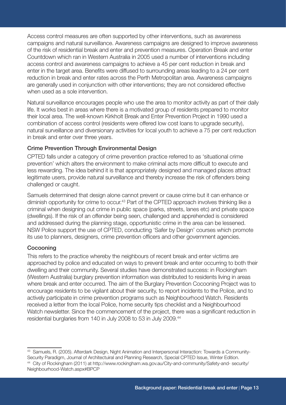Access control measures are often supported by other interventions, such as awareness campaigns and natural surveillance. Awareness campaigns are designed to improve awareness of the risk of residential break and enter and prevention measures. Operation Break and enter Countdown which ran in Western Australia in 2005 used a number of interventions including access control and awareness campaigns to achieve a 45 per cent reduction in break and enter in the target area. Benefits were diffused to surrounding areas leading to a 24 per cent reduction in break and enter rates across the Perth Metropolitan area. Awareness campaigns are generally used in conjunction with other interventions; they are not considered effective when used as a sole intervention.

Natural surveillance encourages people who use the area to monitor activity as part of their daily life. It works best in areas where there is a motivated group of residents prepared to monitor their local area. The well-known Kirkholt Break and Enter Prevention Project in 1990 used a combination of access control (residents were offered low cost loans to upgrade security), natural surveillance and diversionary activities for local youth to achieve a 75 per cent reduction in break and enter over three years.

#### Crime Prevention Through Environmental Design

CPTED falls under a category of crime prevention practice referred to as 'situational crime prevention' which alters the environment to make criminal acts more difficult to execute and less rewarding. The idea behind it is that appropriately designed and managed places attract legitimate users, provide natural surveillance and thereby increase the risk of offenders being challenged or caught.

Samuels determined that design alone cannot prevent or cause crime but it can enhance or diminish opportunity for crime to occur.<sup>43</sup> Part of the CPTED approach involves thinking like a criminal when designing out crime in public space (parks, streets, lanes etc) and private space (dwellings). If the risk of an offender being seen, challenged and apprehended is considered and addressed during the planning stage, opportunistic crime in the area can be lessened. NSW Police support the use of CPTED, conducting 'Safer by Design' courses which promote its use to planners, designers, crime prevention officers and other government agencies.

#### Cocooning

This refers to the practice whereby the neighbours of recent break and enter victims are approached by police and educated on ways to prevent break and enter occurring to both their dwelling and their community. Several studies have demonstrated success: in Rockingham (Western Australia) burglary prevention information was distributed to residents living in areas where break and enter occurred. The aim of the Burglary Prevention Cocooning Project was to encourage residents to be vigilant about their security, to report incidents to the Police, and to actively participate in crime prevention programs such as Neighbourhood Watch. Residents received a letter from the local Police, home security tips checklist and a Neighbourhood Watch newsletter. Since the commencement of the project, there was a significant reduction in residential burglaries from 140 in July 2008 to 53 in July 2009.<sup>44</sup>

<sup>&</sup>lt;sup>43</sup> Samuels, R. (2005). Afterdark Design, Night Animation and Interpersonal Interaction: Towards a Community-Security Paradigm, Journal of Architectuiral and Planning Research, Special CPTED Issue, Winter Edition. 44 City of Rockingham (2011) at http://www.rockingham.wa.gov.au/City-and-community/Safety-and- security/ Neighbourhood-Watch.aspx#BPCP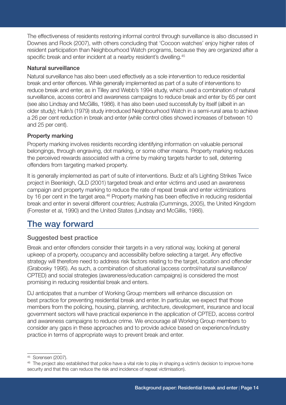The effectiveness of residents restoring informal control through surveillance is also discussed in Downes and Rock (2007), with others concluding that 'Cocoon watches' enjoy higher rates of resident participation than Neighbourhood Watch programs, because they are organized after a specific break and enter incident at a nearby resident's dwelling.<sup>45</sup>

## Natural surveillance

Natural surveillance has also been used effectively as a sole intervention to reduce residential break and enter offences. While generally implemented as part of a suite of interventions to reduce break and enter, as in Tilley and Webb's 1994 study, which used a combination of natural surveillance, access control and awareness campaigns to reduce break and enter by 65 per cent (see also Lindsay and McGillis, 1986). it has also been used successfully by itself (albeit in an older study); Hulin's (1979) study introduced Neighbourhood Watch in a semi-rural area to achieve a 26 per cent reduction in break and enter (while control cities showed increases of between 10 and 25 per cent).

## Property marking

Property marking involves residents recording identifying information on valuable personal belongings, through engraving, dot marking, or some other means. Property marking reduces the perceived rewards associated with a crime by making targets harder to sell, deterring offenders from targeting marked property.

It is generally implemented as part of suite of interventions. Budz et al's Lighting Strikes Twice project in Beenleigh, QLD (2001) targeted break and enter victims and used an awareness campaign and property marking to reduce the rate of repeat break and enter victimizations by 16 per cent in the target area.<sup>46</sup> Property marking has been effective in reducing residential break and enter in several different countries; Australia (Cummings, 2005), the United Kingdom (Forrester et al, 1990) and the United States (Lindsay and McGillis, 1986).

# The way forward

# Suggested best practice

Break and enter offenders consider their targets in a very rational way, looking at general upkeep of a property, occupancy and accessibility before selecting a target. Any effective strategy will therefore need to address risk factors relating to the target, location and offender (Grabosky 1995). As such, a combination of situational (access control/natural surveillance/ CPTED) and social strategies (awareness/education campaigns) is considered the most promising in reducing residential break and enters.

DJ anticipates that a number of Working Group members will enhance discussion on best practice for preventing residential break and enter. In particular, we expect that those members from the policing, housing, planning, architecture, development, insurance and local government sectors will have practical experience in the application of CPTED, access control and awareness campaigns to reduce crime. We encourage all Working Group members to consider any gaps in these approaches and to provide advice based on experience/industry practice in terms of appropriate ways to prevent break and enter.

<sup>45</sup> Sorensen (2007).

<sup>&</sup>lt;sup>46</sup> The project also established that police have a vital role to play in shaping a victim's decision to improve home security and that this can reduce the risk and incidence of repeat victimisation).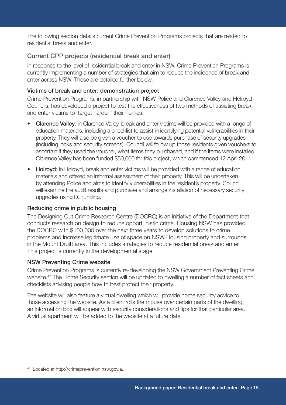The following section details current Crime Prevention Programs projects that are related to residential break and enter.

# Current CPP projects (residential break and enter)

In response to the level of residential break and enter in NSW, Crime Prevention Programs is currently implementing a number of strategies that aim to reduce the incidence of break and enter across NSW. These are detailed further below.

## Victims of break and enter: demonstration project

Crime Prevention Programs, in partnership with NSW Police and Clarence Valley and Holroyd Councils, has developed a project to test the effectiveness of two methods of assisting break and enter victims to 'target harden' their homes.

- Clarence Valley: in Clarence Valley, break and enter victims will be provided with a range of education materials, including a checklist to assist in identifying potential vulnerabilities in their property. They will also be given a voucher to use towards purchase of security upgrades (including locks and security screens). Council will follow up those residents given vouchers to ascertain if they used the voucher, what items they purchased, and if the items were installed. Clarence Valley has been funded \$50,000 for this project, which commenced 12 April 2011.
- Holroyd: in Holroyd, break and enter victims will be provided with a range of education materials and offered an informal assessment of their property. This will be undertaken by attending Police and aims to identify vulnerabilities in the resident's property. Council will examine the audit results and purchase and arrange installation of necessary security upgrades using DJ funding.

### Reducing crime in public housing

The Designing Out Crime Research Centre (DOCRC) is an initiative of the Department that conducts research on design to reduce opportunistic crime. Housing NSW has provided the DOCRC with \$100,000 over the next three years to develop solutions to crime problems and increase legitimate use of space on NSW Housing property and surrounds in the Mount Druitt area. This includes strategies to reduce residential break and enter. This project is currently in the developmental stage.

### NSW Preventing Crime website

Crime Prevention Programs is currently re-developing the NSW Government Preventing Crime website.<sup>47</sup> The Home Security section will be updated to dwelling a number of fact sheets and checklists advising people how to best protect their property.

The website will also feature a virtual dwelling which will provide home security advice to those accessing the website. As a client rolls the mouse over certain parts of the dwelling, an information box will appear with security considerations and tips for that particular area. A virtual apartment will be added to the website at a future date.

<sup>47</sup> Located at http://crimeprevention.nsw.gov.au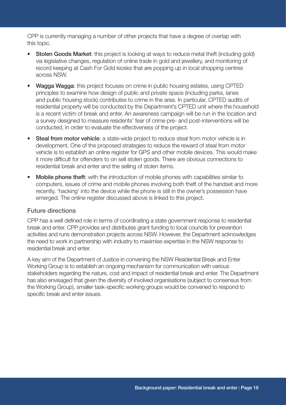CPP is currently managing a number of other projects that have a degree of overlap with this topic.

- **Stolen Goods Market:** this project is looking at ways to reduce metal theft (including gold) via legislative changes, regulation of online trade in gold and jewellery, and monitoring of record keeping at Cash For Gold kiosks that are popping up in local shopping centres across NSW.
- **Wagga Wagga:** this project focuses on crime in public housing estates, using CPTED principles to examine how design of public and private space (including parks, lanes and public housing stock) contributes to crime in the area. In particular, CPTED audits of residential property will be conducted by the Department's CPTED unit where the household is a recent victim of break and enter. An awareness campaign will be run in the location and a survey designed to measure residents' fear of crime pre- and post-interventions will be conducted, in order to evaluate the effectiveness of the project.
- **Steal from motor vehicle**: a state-wide project to reduce steal from motor vehicle is in development. One of the proposed strategies to reduce the reward of steal from motor vehicle is to establish an online register for GPS and other mobile devices. This would make it more difficult for offenders to on sell stolen goods. There are obvious connections to residential break and enter and the selling of stolen items.
- Mobile phone theft: with the introduction of mobile phones with capabilities similar to computers, issues of crime and mobile phones involving both theft of the handset and more recently, 'hacking' into the device while the phone is still in the owner's possession have emerged. The online register discussed above is linked to this project.

#### Future directions

CPP has a well defined role in terms of coordinating a state government response to residential break and enter. CPP provides and distributes grant funding to local councils for prevention activities and runs demonstration projects across NSW. However, the Department acknowledges the need to work in partnership with industry to maximise expertise in the NSW response to residential break and enter.

A key aim of the Department of Justice in convening the NSW Residential Break and Enter Working Group is to establish an ongoing mechanism for communication with various stakeholders regarding the nature, cost and impact of residential break and enter. The Department has also envisaged that given the diversity of involved organisations (subject to consensus from the Working Group), smaller task-specific working groups would be convened to respond to specific break and enter issues.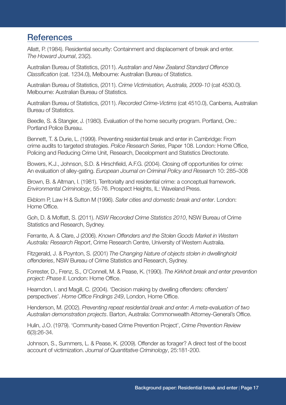# **References**

Allatt, P. (1984). Residential security: Containment and displacement of break and enter. *The Howard Journal*, 23(2).

Australian Bureau of Statistics, (2011). *Australian and New Zealand Standard Offence Classification* (cat. 1234.0), Melbourne: Australian Bureau of Statistics.

Australian Bureau of Statistics, (2011). *Crime Victimisation, Australia, 2009-10* (cat 4530.0). Melbourne: Australian Bureau of Statistics.

Australian Bureau of Statistics, (2011). *Recorded Crime-Victims* (cat 4510.0), Canberra, Australian Bureau of Statistics.

Beedle, S. & Stangier, J. (1980). Evaluation of the home security program. Portland, Ore.: Portland Police Bureau.

Bennett, T. & Durie, L. (1999). Preventing residential break and enter in Cambridge: From crime audits to targeted strategies. *Police Research Series*, Paper 108. London: Home Office, Policing and Reducing Crime Unit, Research, Decelopment and Statistics Directorate.

Bowers, K.J., Johnson, S.D. & Hirschfield, A.F.G. (2004). Closing off opportunities for crime: An evaluation of alley-gating. *European Journal on Criminal Policy and Research* 10: 285–308

Brown, B. & Altman, I. (1981). Territorialty and residential crime: a conceptual framework. *Environmental Criminology*, 55-76. Prospect Heights, IL: Waveland Press.

Ekblom P, Law H & Sutton M (1996). *Safer cities and domestic break and enter*. London: Home Office.

Goh, D. & Moffatt, S. (2011). *NSW Recorded Crime Statistics 2010*, NSW Bureau of Crime Statistics and Research, Sydney.

Ferrante, A. & Clare, J (2006). *Known Offenders and the Stolen Goods Market in Western Australia: Research Report*, Crime Research Centre, University of Western Australia.

Fitzgerald, J. & Poynton, S. (2001) *The Changing Nature of objects stolen in dwellinghold offenderies*, NSW Bureau of Crime Statistics and Research, Sydney.

Forrester, D., Frenz, S., O'Connell, M. & Pease, K. (1990). *The Kirkholt break and enter prevention project: Phase II*. London: Home Office.

Hearndon, I. and Magill, C. (2004). 'Decision making by dwelling offenders: offenders' perspectives'. *Home Office Findings 249*, London, Home Office.

Henderson, M. (2002). *Preventing repeat residential break and enter: A meta-evaluation of two Australian demonstration projects*. Barton, Australia: Commonwealth Attorney-General's Office.

Hulin, J.O. (1979). 'Community-based Crime Prevention Project', *Crime Prevention Review* 6(3):26-34.

Johnson, S., Summers, L. & Pease, K. (2009). Offender as forager? A direct test of the boost account of victimization. *Journal of Quantitative Criminology*, 25:181-200.